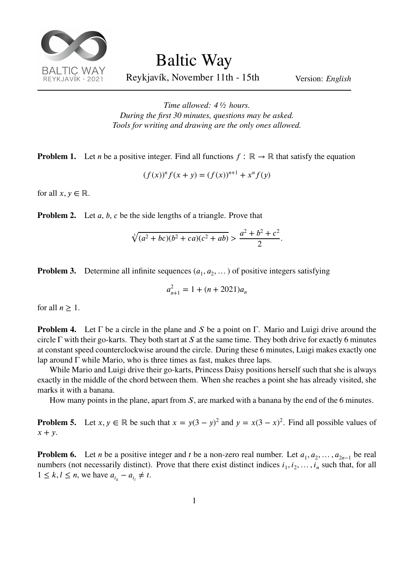

Baltic Way

Reykjavík, November 11th - 15th Version: *English*

*Time allowed: 4 ½ hours. During the first 30 minutes, questions may be asked. Tools for writing and drawing are the only ones allowed.*

**Problem 1.** Let *n* be a positive integer. Find all functions  $f : \mathbb{R} \to \mathbb{R}$  that satisfy the equation

$$
(f(x))^{n} f(x + y) = (f(x))^{n+1} + x^{n} f(y)
$$

for all  $x, y \in \mathbb{R}$ .

**Problem 2.** Let *a*, *b*, *c* be the side lengths of a triangle. Prove that

$$
\sqrt[3]{(a^2+bc)(b^2+ca)(c^2+ab)} > \frac{a^2+b^2+c^2}{2}.
$$

**Problem 3.** Determine all infinite sequences  $(a_1, a_2, \dots)$  of positive integers satisfying

$$
a_{n+1}^2 = 1 + (n + 2021)a_n
$$

for all  $n \geq 1$ .

**Problem 4.** Let  $\Gamma$  be a circle in the plane and S be a point on  $\Gamma$ . Mario and Luigi drive around the circle Γ with their go-karts. They both start at S at the same time. They both drive for exactly 6 minutes at constant speed counterclockwise around the circle. During these 6 minutes, Luigi makes exactly one lap around  $\Gamma$  while Mario, who is three times as fast, makes three laps.

While Mario and Luigi drive their go-karts, Princess Daisy positions herself such that she is always exactly in the middle of the chord between them. When she reaches a point she has already visited, she marks it with a banana.

How many points in the plane, apart from  $S$ , are marked with a banana by the end of the 6 minutes.

**Problem 5.** Let  $x, y \in \mathbb{R}$  be such that  $x = y(3 - y)^2$  and  $y = x(3 - x)^2$ . Find all possible values of  $x + y$ .

**Problem 6.** Let *n* be a positive integer and *t* be a non-zero real number. Let  $a_1, a_2, ..., a_{2n-1}$  be real numbers (not necessarily distinct). Prove that there exist distinct indices  $i_1, i_2, \ldots, i_n$  such that, for all  $1 \leq k, l \leq n$ , we have  $a_{i_k} - a_{i_l} \neq t$ .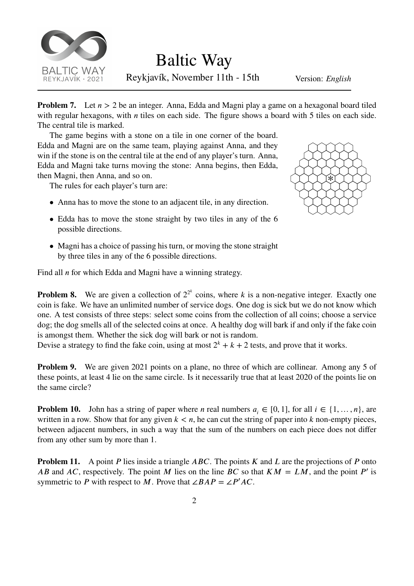

Baltic Way

Reykjavík, November 11th - 15th Version: *English*

**Problem 7.** Let  $n > 2$  be an integer. Anna, Edda and Magni play a game on a hexagonal board tiled with regular hexagons, with  $n$  tiles on each side. The figure shows a board with 5 tiles on each side. The central tile is marked.

The game begins with a stone on a tile in one corner of the board. Edda and Magni are on the same team, playing against Anna, and they win if the stone is on the central tile at the end of any player's turn. Anna, Edda and Magni take turns moving the stone: Anna begins, then Edda, then Magni, then Anna, and so on.

The rules for each player's turn are:

• Anna has to move the stone to an adjacent tile, in any direction.



- Edda has to move the stone straight by two tiles in any of the 6 possible directions.
- Magni has a choice of passing his turn, or moving the stone straight by three tiles in any of the 6 possible directions.

Find all  $n$  for which Edda and Magni have a winning strategy.

**Problem 8.** We are given a collection of  $2^{2^k}$  coins, where k is a non-negative integer. Exactly one coin is fake. We have an unlimited number of service dogs. One dog is sick but we do not know which one. A test consists of three steps: select some coins from the collection of all coins; choose a service dog; the dog smells all of the selected coins at once. A healthy dog will bark if and only if the fake coin is amongst them. Whether the sick dog will bark or not is random.

Devise a strategy to find the fake coin, using at most  $2^k + k + 2$  tests, and prove that it works.

**Problem 9.** We are given 2021 points on a plane, no three of which are collinear. Among any 5 of these points, at least 4 lie on the same circle. Is it necessarily true that at least 2020 of the points lie on the same circle?

**Problem 10.** John has a string of paper where *n* real numbers  $a_i \in [0, 1]$ , for all  $i \in \{1, ..., n\}$ , are written in a row. Show that for any given  $k < n$ , he can cut the string of paper into k non-empty pieces, between adjacent numbers, in such a way that the sum of the numbers on each piece does not differ from any other sum by more than 1.

**Problem 11.** A point P lies inside a triangle  $ABC$ . The points  $K$  and  $L$  are the projections of  $P$  onto AB and AC, respectively. The point M lies on the line BC so that  $KM = LM$ , and the point P' is symmetric to P with respect to M. Prove that  $\angle BAP = \angle P'AC$ .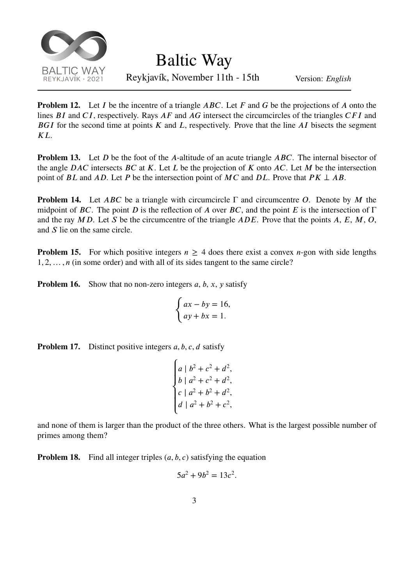

Baltic Way

Reykjavík, November 11th - 15th Version: *English*

**Problem 12.** Let I be the incentre of a triangle  $ABC$ . Let F and G be the projections of A onto the lines  $BI$  and  $CI$ , respectively. Rays  $AF$  and  $AG$  intersect the circumcircles of the triangles  $CFI$  and BGI for the second time at points  $K$  and  $L$ , respectively. Prove that the line  $AI$  bisects the segment  $KL$ .

**Problem 13.** Let *D* be the foot of the *A*-altitude of an acute triangle *ABC*. The internal bisector of the angle  $DAC$  intersects  $BC$  at  $K$ . Let  $L$  be the projection of  $K$  onto  $AC$ . Let  $M$  be the intersection point of *BL* and *AD*. Let *P* be the intersection point of *MC* and *DL*. Prove that  $PK \perp AB$ .

**Problem 14.** Let  $ABC$  be a triangle with circumcircle  $\Gamma$  and circumcentre O. Denote by M the midpoint of BC. The point D is the reflection of A over BC, and the point E is the intersection of  $\Gamma$ and the ray  $MD$ . Let S be the circumcentre of the triangle  $ADE$ . Prove that the points A, E, M, O, and  $S$  lie on the same circle.

**Problem 15.** For which positive integers  $n \geq 4$  does there exist a convex *n*-gon with side lengths 1*,* 2*,*… *,*  (in some order) and with all of its sides tangent to the same circle?

**Problem 16.** Show that no non-zero integers  $a, b, x, y$  satisfy

$$
\begin{cases} ax - by = 16, \\ ay + bx = 1. \end{cases}
$$

**Problem 17.** Distinct positive integers *a, b, c, d* satisfy

$$
\begin{cases}\na | b^2 + c^2 + d^2, \\
b | a^2 + c^2 + d^2, \\
c | a^2 + b^2 + d^2, \\
d | a^2 + b^2 + c^2,\n\end{cases}
$$

and none of them is larger than the product of the three others. What is the largest possible number of primes among them?

**Problem 18.** Find all integer triples  $(a, b, c)$  satisfying the equation

$$
5a^2 + 9b^2 = 13c^2.
$$